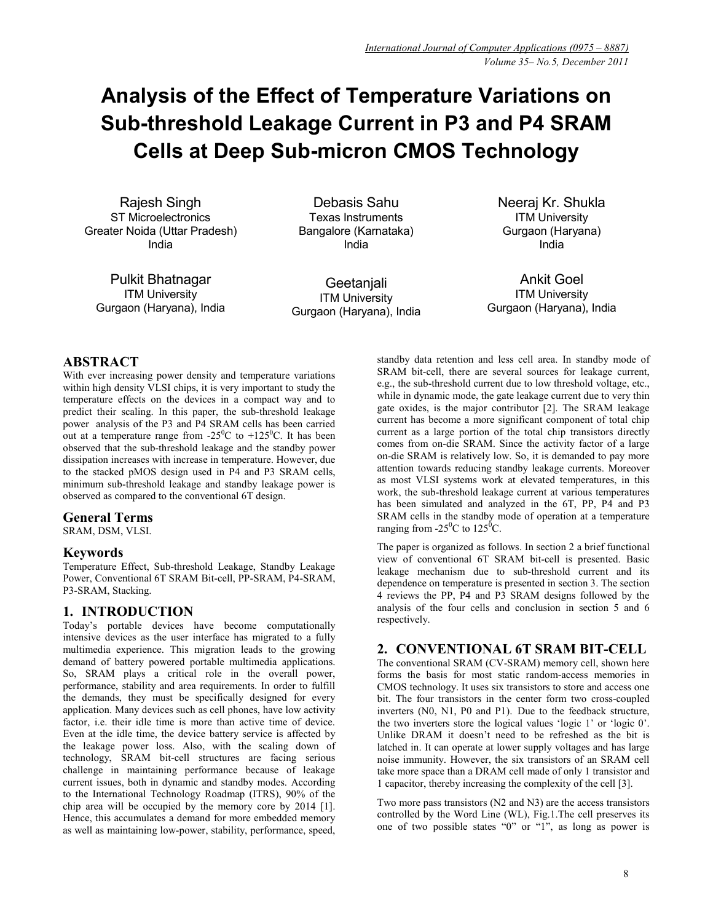# **Analysis of the Effect of Temperature Variations on Sub-threshold Leakage Current in P3 and P4 SRAM Cells at Deep Sub-micron CMOS Technology**

Rajesh Singh ST Microelectronics Greater Noida (Uttar Pradesh) India

Pulkit Bhatnagar ITM University Gurgaon (Haryana), India

Debasis Sahu Texas Instruments Bangalore (Karnataka) India

**Geetanjali** ITM University Gurgaon (Haryana), India Neeraj Kr. Shukla ITM University Gurgaon (Haryana) India

Ankit Goel ITM University Gurgaon (Haryana), India

# **ABSTRACT**

With ever increasing power density and temperature variations within high density VLSI chips, it is very important to study the temperature effects on the devices in a compact way and to predict their scaling. In this paper, the sub-threshold leakage power analysis of the P3 and P4 SRAM cells has been carried out at a temperature range from  $-25^{\circ}$ C to  $+125^{\circ}$ C. It has been observed that the sub-threshold leakage and the standby power dissipation increases with increase in temperature. However, due to the stacked pMOS design used in P4 and P3 SRAM cells, minimum sub-threshold leakage and standby leakage power is observed as compared to the conventional 6T design.

# **General Terms**

SRAM, DSM, VLSI.

# **Keywords**

Temperature Effect, Sub-threshold Leakage, Standby Leakage Power, Conventional 6T SRAM Bit-cell, PP-SRAM, P4-SRAM, P3-SRAM, Stacking.

# **1. INTRODUCTION**

Today's portable devices have become computationally intensive devices as the user interface has migrated to a fully multimedia experience. This migration leads to the growing demand of battery powered portable multimedia applications. So, SRAM plays a critical role in the overall power, performance, stability and area requirements. In order to fulfill the demands, they must be specifically designed for every application. Many devices such as cell phones, have low activity factor, i.e. their idle time is more than active time of device. Even at the idle time, the device battery service is affected by the leakage power loss. Also, with the scaling down of technology, SRAM bit-cell structures are facing serious challenge in maintaining performance because of leakage current issues, both in dynamic and standby modes. According to the International Technology Roadmap (ITRS), 90% of the chip area will be occupied by the memory core by 2014 [1]. Hence, this accumulates a demand for more embedded memory as well as maintaining low-power, stability, performance, speed,

standby data retention and less cell area. In standby mode of SRAM bit-cell, there are several sources for leakage current, e.g., the sub-threshold current due to low threshold voltage, etc., while in dynamic mode, the gate leakage current due to very thin gate oxides, is the major contributor [2]. The SRAM leakage current has become a more significant component of total chip current as a large portion of the total chip transistors directly comes from on-die SRAM. Since the activity factor of a large on-die SRAM is relatively low. So, it is demanded to pay more attention towards reducing standby leakage currents. Moreover as most VLSI systems work at elevated temperatures, in this work, the sub-threshold leakage current at various temperatures has been simulated and analyzed in the 6T, PP, P4 and P3 SRAM cells in the standby mode of operation at a temperature ranging from  $-25^{\circ}$ C to  $125^{\circ}$ C.

The paper is organized as follows. In section 2 a brief functional view of conventional 6T SRAM bit-cell is presented. Basic leakage mechanism due to sub-threshold current and its dependence on temperature is presented in section 3. The section 4 reviews the PP, P4 and P3 SRAM designs followed by the analysis of the four cells and conclusion in section 5 and 6 respectively.

# **2. CONVENTIONAL 6T SRAM BIT-CELL**

The conventional SRAM (CV-SRAM) memory cell, shown here forms the basis for most static random-access memories in CMOS technology. It uses six transistors to store and access one bit. The four transistors in the center form two cross-coupled inverters (N0, N1, P0 and P1). Due to the feedback structure, the two inverters store the logical values 'logic 1' or 'logic 0'. Unlike DRAM it doesn't need to be refreshed as the bit is latched in. It can operate at lower supply voltages and has large noise immunity. However, the six transistors of an SRAM cell take more space than a DRAM cell made of only 1 transistor and 1 capacitor, thereby increasing the complexity of the cell [3].

Two more pass transistors (N2 and N3) are the access transistors controlled by the Word Line (WL), Fig.1.The cell preserves its one of two possible states "0" or "1", as long as power is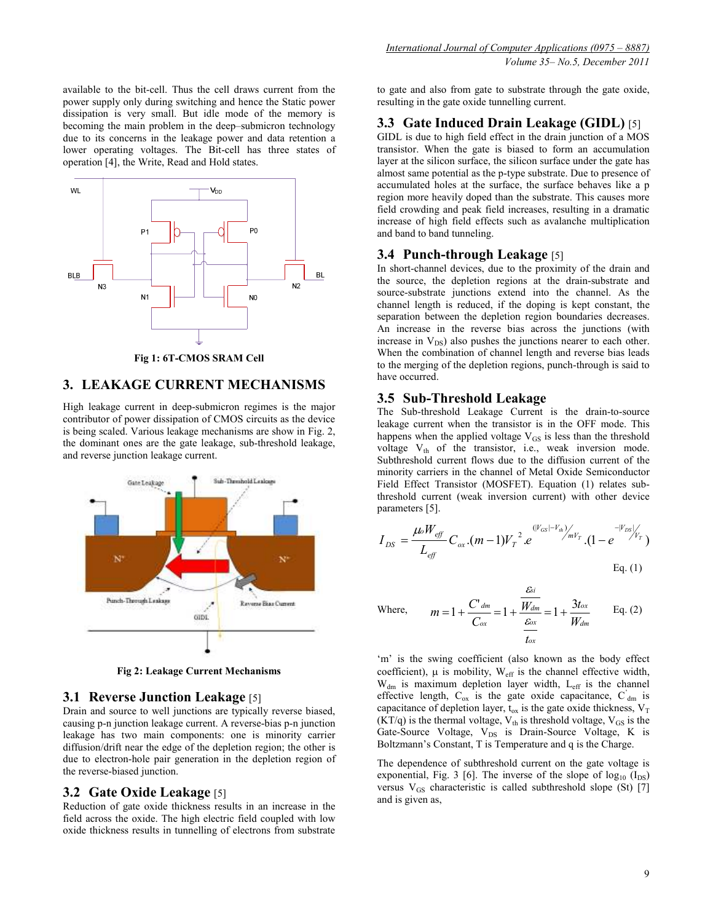available to the bit-cell. Thus the cell draws current from the power supply only during switching and hence the Static power dissipation is very small. But idle mode of the memory is becoming the main problem in the deep–submicron technology due to its concerns in the leakage power and data retention a lower operating voltages. The Bit-cell has three states of operation [4], the Write, Read and Hold states.



**Fig 1: 6T-CMOS SRAM Cell** 

# **3. LEAKAGE CURRENT MECHANISMS**

High leakage current in deep-submicron regimes is the major contributor of power dissipation of CMOS circuits as the device is being scaled. Various leakage mechanisms are show in Fig. 2, the dominant ones are the gate leakage, sub-threshold leakage, and reverse junction leakage current.



**Fig 2: Leakage Current Mechanisms** 

# **3.1 Reverse Junction Leakage** [5]

Drain and source to well junctions are typically reverse biased, causing p-n junction leakage current. A reverse-bias p-n junction leakage has two main components: one is minority carrier diffusion/drift near the edge of the depletion region; the other is due to electron-hole pair generation in the depletion region of the reverse-biased junction.

## **3.2 Gate Oxide Leakage** [5]

Reduction of gate oxide thickness results in an increase in the field across the oxide. The high electric field coupled with low oxide thickness results in tunnelling of electrons from substrate

to gate and also from gate to substrate through the gate oxide, resulting in the gate oxide tunnelling current.

# **3.3 Gate Induced Drain Leakage (GIDL)** [5]

GIDL is due to high field effect in the drain junction of a MOS transistor. When the gate is biased to form an accumulation layer at the silicon surface, the silicon surface under the gate has almost same potential as the p-type substrate. Due to presence of accumulated holes at the surface, the surface behaves like a p region more heavily doped than the substrate. This causes more field crowding and peak field increases, resulting in a dramatic increase of high field effects such as avalanche multiplication and band to band tunneling.

# **3.4 Punch-through Leakage** [5]

In short-channel devices, due to the proximity of the drain and the source, the depletion regions at the drain-substrate and source-substrate junctions extend into the channel. As the channel length is reduced, if the doping is kept constant, the separation between the depletion region boundaries decreases. An increase in the reverse bias across the junctions (with increase in  $V_{DS}$ ) also pushes the junctions nearer to each other. When the combination of channel length and reverse bias leads to the merging of the depletion regions, punch-through is said to have occurred.

## **3.5 Sub-Threshold Leakage**

The Sub-threshold Leakage Current is the drain-to-source leakage current when the transistor is in the OFF mode. This happens when the applied voltage  $V_{GS}$  is less than the threshold voltage  $V_{th}$  of the transistor, i.e., weak inversion mode. Subthreshold current flows due to the diffusion current of the minority carriers in the channel of Metal Oxide Semiconductor Field Effect Transistor (MOSFET). Equation (1) relates subthreshold current (weak inversion current) with other device parameters [5].

$$
I_{DS} = \frac{\mu_0 W_{\text{eff}}}{L_{\text{eff}}} C_{\text{ox}}.(m-1) V_T^{-2} . e^{(|V_{GS}|-V_h) / \mu V_T} . (1 - e^{-|V_{DS}| / \mu V_T})
$$
  
Eq. (1)

Where, 
$$
m = 1 + \frac{C'_{dm}}{C_{ox}} = 1 + \frac{\frac{\mathcal{E}_{si}}{W_{dm}}}{\frac{\mathcal{E}_{ox}}{t_{ox}}} = 1 + \frac{3t_{ox}}{W_{dm}}
$$
 Eq. (2)

'm' is the swing coefficient (also known as the body effect coefficient),  $\mu$  is mobility,  $W_{\text{eff}}$  is the channel effective width,  $W_{dm}$  is maximum depletion layer width,  $L_{eff}$  is the channel effective length,  $C_{ox}$  is the gate oxide capacitance,  $C_{dm}$  is capacitance of depletion layer,  $t_{ox}$  is the gate oxide thickness,  $V_T$  $(KT/q)$  is the thermal voltage,  $V_{th}$  is threshold voltage,  $V_{GS}$  is the Gate-Source Voltage, V<sub>DS</sub> is Drain-Source Voltage, K is Boltzmann's Constant, T is Temperature and q is the Charge.

The dependence of subthreshold current on the gate voltage is exponential, Fig. 3 [6]. The inverse of the slope of  $log_{10}$  ( $I_{DS}$ ) versus V<sub>GS</sub> characteristic is called subthreshold slope (St) [7] and is given as,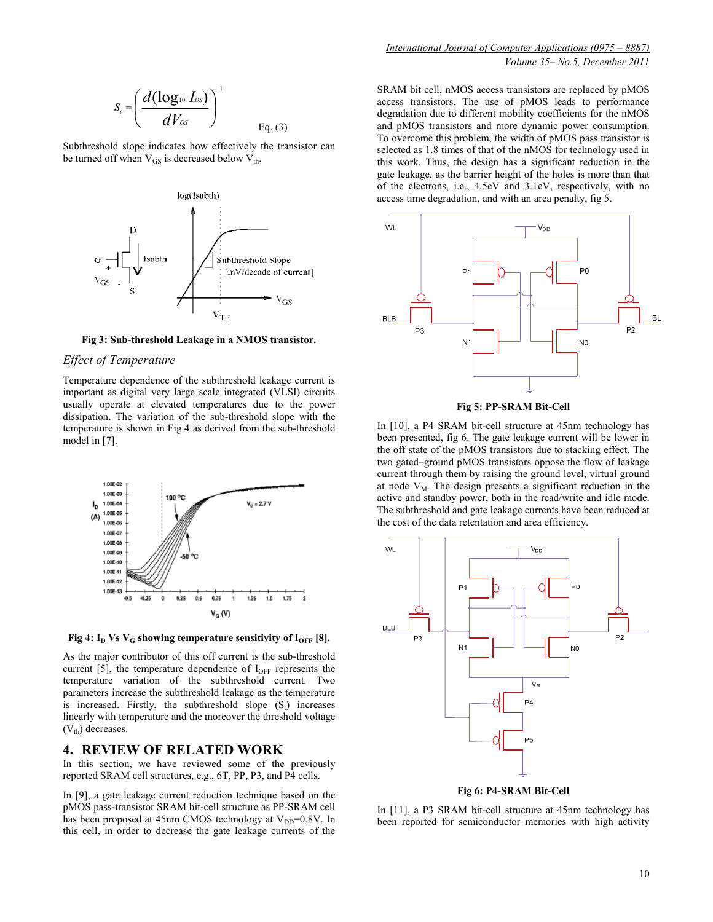$$
S_t = \left(\frac{d(\log_{10} I_{DS})}{dV_{GS}}\right)^{-1}
$$
 Eq. (3)

Subthreshold slope indicates how effectively the transistor can be turned off when  $V_{GS}$  is decreased below  $V_{th}$ .



**Fig 3: Sub-threshold Leakage in a NMOS transistor.** 

#### *Effect of Temperature*

Temperature dependence of the subthreshold leakage current is important as digital very large scale integrated (VLSI) circuits usually operate at elevated temperatures due to the power dissipation. The variation of the sub-threshold slope with the temperature is shown in Fig 4 as derived from the sub-threshold model in [7].



**Fig 4:**  $I_D$  Vs  $V_G$  showing temperature sensitivity of  $I_{OFF}$  [8].

As the major contributor of this off current is the sub-threshold current [5], the temperature dependence of  $I<sub>OFF</sub>$  represents the temperature variation of the subthreshold current. Two parameters increase the subthreshold leakage as the temperature is increased. Firstly, the subthreshold slope  $(S_t)$  increases linearly with temperature and the moreover the threshold voltage  $(V<sub>th</sub>)$  decreases.

### **4. REVIEW OF RELATED WORK**

In this section, we have reviewed some of the previously reported SRAM cell structures, e.g., 6T, PP, P3, and P4 cells.

In [9], a gate leakage current reduction technique based on the pMOS pass-transistor SRAM bit-cell structure as PP-SRAM cell has been proposed at 45nm CMOS technology at  $V_{DD}$ =0.8V. In this cell, in order to decrease the gate leakage currents of the

SRAM bit cell, nMOS access transistors are replaced by pMOS access transistors. The use of pMOS leads to performance degradation due to different mobility coefficients for the nMOS and pMOS transistors and more dynamic power consumption. To overcome this problem, the width of pMOS pass transistor is selected as 1.8 times of that of the nMOS for technology used in this work. Thus, the design has a significant reduction in the gate leakage, as the barrier height of the holes is more than that of the electrons, i.e., 4.5eV and 3.1eV, respectively, with no access time degradation, and with an area penalty, fig 5.





In [10], a P4 SRAM bit-cell structure at 45nm technology has been presented, fig 6. The gate leakage current will be lower in the off state of the pMOS transistors due to stacking effect. The two gated–ground pMOS transistors oppose the flow of leakage current through them by raising the ground level, virtual ground at node  $V_M$ . The design presents a significant reduction in the active and standby power, both in the read/write and idle mode. The subthreshold and gate leakage currents have been reduced at the cost of the data retentation and area efficiency.



**Fig 6: P4-SRAM Bit-Cell** 

In [11], a P3 SRAM bit-cell structure at 45nm technology has been reported for semiconductor memories with high activity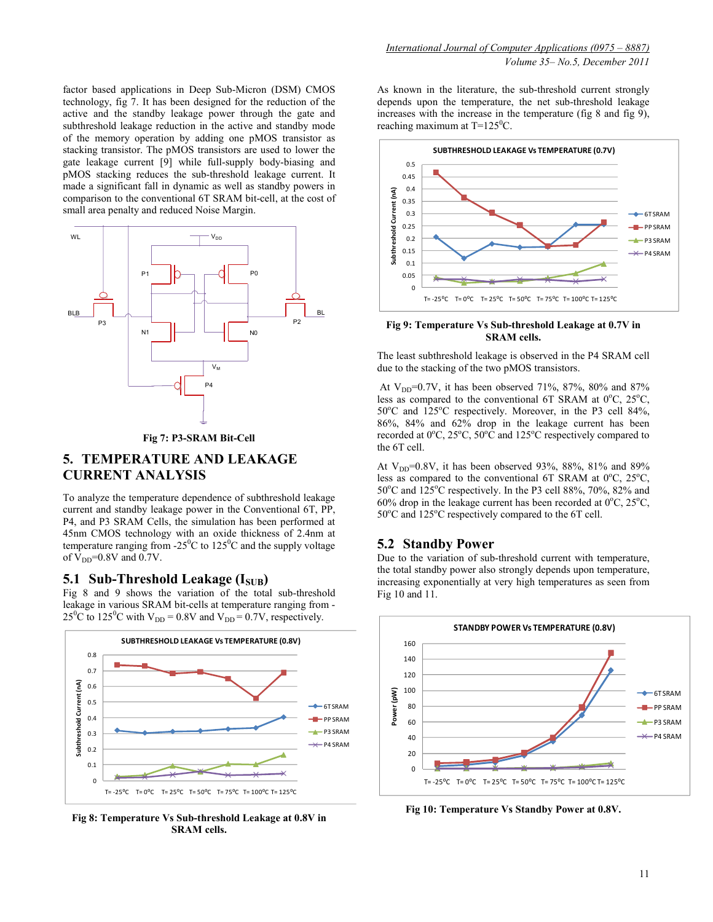factor based applications in Deep Sub-Micron (DSM) CMOS technology, fig 7. It has been designed for the reduction of the active and the standby leakage power through the gate and subthreshold leakage reduction in the active and standby mode of the memory operation by adding one pMOS transistor as stacking transistor. The pMOS transistors are used to lower the gate leakage current [9] while full-supply body-biasing and pMOS stacking reduces the sub-threshold leakage current. It made a significant fall in dynamic as well as standby powers in comparison to the conventional 6T SRAM bit-cell, at the cost of small area penalty and reduced Noise Margin.



#### **Fig 7: P3-SRAM Bit-Cell**

# **5. TEMPERATURE AND LEAKAGE CURRENT ANALYSIS**

To analyze the temperature dependence of subthreshold leakage current and standby leakage power in the Conventional 6T, PP, P4, and P3 SRAM Cells, the simulation has been performed at 45nm CMOS technology with an oxide thickness of 2.4nm at temperature ranging from  $-25^{\circ}$ C to  $125^{\circ}$ C and the supply voltage of  $V_{DD}$ =0.8V and 0.7V.

## **5.1 Sub-Threshold Leakage (ISUB)**

Fig 8 and 9 shows the variation of the total sub-threshold leakage in various SRAM bit-cells at temperature ranging from - 25<sup>0</sup>C to 125<sup>0</sup>C with V<sub>DD</sub> = 0.8V and V<sub>DD</sub> = 0.7V, respectively.



**Fig 8: Temperature Vs Sub-threshold Leakage at 0.8V in SRAM cells.** 

As known in the literature, the sub-threshold current strongly depends upon the temperature, the net sub-threshold leakage increases with the increase in the temperature (fig 8 and fig 9), reaching maximum at  $T=125^{\circ}C$ .



#### **Fig 9: Temperature Vs Sub-threshold Leakage at 0.7V in SRAM cells.**

The least subthreshold leakage is observed in the P4 SRAM cell due to the stacking of the two pMOS transistors.

At  $V_{DD}$ =0.7V, it has been observed 71%, 87%, 80% and 87% less as compared to the conventional 6T SRAM at  $0^{\circ}$ C,  $25^{\circ}$ C,  $50^{\circ}$ C and  $125^{\circ}$ C respectively. Moreover, in the P3 cell 84%, 86%, 84% and 62% drop in the leakage current has been recorded at  $0^{\circ}$ C,  $25^{\circ}$ C,  $50^{\circ}$ C and  $125^{\circ}$ C respectively compared to the 6T cell.

At  $V_{DD}$ =0.8V, it has been observed 93%, 88%, 81% and 89% less as compared to the conventional 6T SRAM at  $0^{\circ}$ C,  $25^{\circ}$ C,  $50^{\circ}$ C and  $125^{\circ}$ C respectively. In the P3 cell 88%, 70%, 82% and 60% drop in the leakage current has been recorded at  $0^{\circ}$ C,  $25^{\circ}$ C,  $50^{\circ}$ C and  $125^{\circ}$ C respectively compared to the 6T cell.

# **5.2 Standby Power**

Due to the variation of sub-threshold current with temperature, the total standby power also strongly depends upon temperature, increasing exponentially at very high temperatures as seen from Fig 10 and 11.



**Fig 10: Temperature Vs Standby Power at 0.8V.**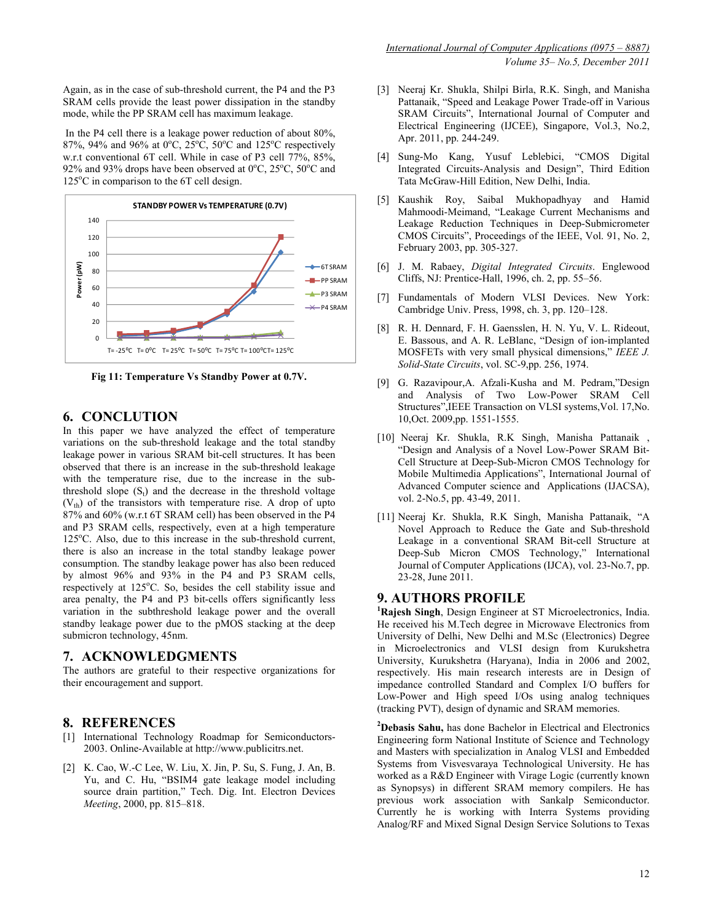Again, as in the case of sub-threshold current, the P4 and the P3 SRAM cells provide the least power dissipation in the standby mode, while the PP SRAM cell has maximum leakage.

 In the P4 cell there is a leakage power reduction of about 80%, 87%, 94% and 96% at  $0^{\circ}$ C, 25 $^{\circ}$ C, 50 $^{\circ}$ C and 125 $^{\circ}$ C respectively w.r.t conventional 6T cell. While in case of P3 cell 77%, 85%, 92% and 93% drops have been observed at  $0^{\circ}$ C,  $25^{\circ}$ C,  $50^{\circ}$ C and  $125^{\circ}$ C in comparison to the 6T cell design.



**Fig 11: Temperature Vs Standby Power at 0.7V.** 

# **6. CONCLUTION**

In this paper we have analyzed the effect of temperature variations on the sub-threshold leakage and the total standby leakage power in various SRAM bit-cell structures. It has been observed that there is an increase in the sub-threshold leakage with the temperature rise, due to the increase in the subthreshold slope  $(S_t)$  and the decrease in the threshold voltage  $(V<sub>th</sub>)$  of the transistors with temperature rise. A drop of upto 87% and 60% (w.r.t 6T SRAM cell) has been observed in the P4 and P3 SRAM cells, respectively, even at a high temperature  $125^{\circ}$ C. Also, due to this increase in the sub-threshold current. there is also an increase in the total standby leakage power consumption. The standby leakage power has also been reduced by almost 96% and 93% in the P4 and P3 SRAM cells, respectively at 125°C. So, besides the cell stability issue and area penalty, the P4 and P3 bit-cells offers significantly less variation in the subthreshold leakage power and the overall standby leakage power due to the pMOS stacking at the deep submicron technology, 45nm.

# **7. ACKNOWLEDGMENTS**

The authors are grateful to their respective organizations for their encouragement and support.

# **8. REFERENCES**

- [1] International Technology Roadmap for Semiconductors-2003. Online-Available at http://www.publicitrs.net.
- [2] K. Cao, W.-C Lee, W. Liu, X. Jin, P. Su, S. Fung, J. An, B. Yu, and C. Hu, "BSIM4 gate leakage model including source drain partition," Tech. Dig. Int. Electron Devices *Meeting*, 2000, pp. 815–818.
- [3] Neeraj Kr. Shukla, Shilpi Birla, R.K. Singh, and Manisha Pattanaik, "Speed and Leakage Power Trade-off in Various SRAM Circuits", International Journal of Computer and Electrical Engineering (IJCEE), Singapore, Vol.3, No.2, Apr. 2011, pp. 244-249.
- [4] Sung-Mo Kang, Yusuf Leblebici, "CMOS Digital Integrated Circuits-Analysis and Design", Third Edition Tata McGraw-Hill Edition, New Delhi, India.
- [5] Kaushik Roy, Saibal Mukhopadhyay and Hamid Mahmoodi-Meimand, "Leakage Current Mechanisms and Leakage Reduction Techniques in Deep-Submicrometer CMOS Circuits", Proceedings of the IEEE, Vol. 91, No. 2, February 2003, pp. 305-327.
- [6] J. M. Rabaey, *Digital Integrated Circuits*. Englewood Cliffs, NJ: Prentice-Hall, 1996, ch. 2, pp. 55–56.
- [7] Fundamentals of Modern VLSI Devices. New York: Cambridge Univ. Press, 1998, ch. 3, pp. 120–128.
- [8] R. H. Dennard, F. H. Gaensslen, H. N. Yu, V. L. Rideout, E. Bassous, and A. R. LeBlanc, "Design of ion-implanted MOSFETs with very small physical dimensions," *IEEE J. Solid-State Circuits*, vol. SC-9,pp. 256, 1974.
- [9] G. Razavipour,A. Afzali-Kusha and M. Pedram,"Design and Analysis of Two Low-Power SRAM Cell Structures",IEEE Transaction on VLSI systems,Vol. 17,No. 10,Oct. 2009,pp. 1551-1555.
- [10] Neeraj Kr. Shukla, R.K Singh, Manisha Pattanaik , "Design and Analysis of a Novel Low-Power SRAM Bit-Cell Structure at Deep-Sub-Micron CMOS Technology for Mobile Multimedia Applications", International Journal of Advanced Computer science and Applications (IJACSA), vol. 2-No.5, pp. 43-49, 2011.
- [11] Neeraj Kr. Shukla, R.K Singh, Manisha Pattanaik, "A Novel Approach to Reduce the Gate and Sub-threshold Leakage in a conventional SRAM Bit-cell Structure at Deep-Sub Micron CMOS Technology," International Journal of Computer Applications (IJCA), vol. 23-No.7, pp. 23-28, June 2011.

# **9. AUTHORS PROFILE**

**<sup>1</sup>Rajesh Singh**, Design Engineer at ST Microelectronics, India. He received his M.Tech degree in Microwave Electronics from University of Delhi, New Delhi and M.Sc (Electronics) Degree in Microelectronics and VLSI design from Kurukshetra University, Kurukshetra (Haryana), India in 2006 and 2002, respectively. His main research interests are in Design of impedance controlled Standard and Complex I/O buffers for Low-Power and High speed I/Os using analog techniques (tracking PVT), design of dynamic and SRAM memories.

**<sup>2</sup>Debasis Sahu,** has done Bachelor in Electrical and Electronics Engineering form National Institute of Science and Technology and Masters with specialization in Analog VLSI and Embedded Systems from Visvesvaraya Technological University. He has worked as a R&D Engineer with Virage Logic (currently known as Synopsys) in different SRAM memory compilers. He has previous work association with Sankalp Semiconductor. Currently he is working with Interra Systems providing Analog/RF and Mixed Signal Design Service Solutions to Texas